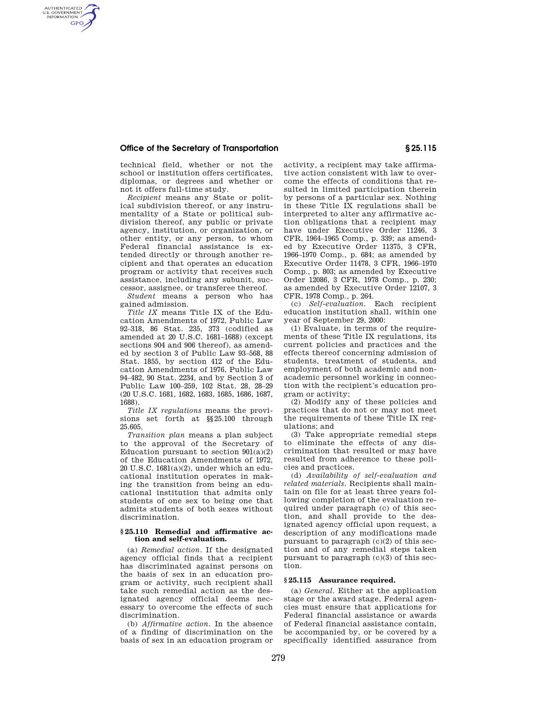### **Office of the Secretary of Transportation § 25.115**

AUTHENTICATED<br>U.S. GOVERNMENT<br>INFORMATION **GPO** 

> technical field, whether or not the school or institution offers certificates, diplomas, or degrees and whether or not it offers full-time study.

> *Recipient* means any State or political subdivision thereof, or any instrumentality of a State or political subdivision thereof, any public or private agency, institution, or organization, or other entity, or any person, to whom Federal financial assistance is extended directly or through another recipient and that operates an education program or activity that receives such assistance, including any subunit, successor, assignee, or transferee thereof.

> *Student* means a person who has gained admission.

> *Title IX* means Title IX of the Education Amendments of 1972, Public Law 92–318, 86 Stat. 235, 373 (codified as amended at 20 U.S.C. 1681–1688) (except sections 904 and 906 thereof), as amended by section 3 of Public Law 93–568, 88 Stat. 1855, by section 412 of the Education Amendments of 1976, Public Law 94–482, 90 Stat. 2234, and by Section 3 of Public Law 100–259, 102 Stat. 28, 28–29 (20 U.S.C. 1681, 1682, 1683, 1685, 1686, 1687, 1688).

> *Title IX regulations* means the provisions set forth at §§25.100 through 25.605.

> *Transition plan* means a plan subject to the approval of the Secretary of Education pursuant to section  $901(a)(2)$ of the Education Amendments of 1972, 20 U.S.C. 1681(a)(2), under which an educational institution operates in making the transition from being an educational institution that admits only students of one sex to being one that admits students of both sexes without discrimination.

#### **§ 25.110 Remedial and affirmative action and self-evaluation.**

(a) *Remedial action.* If the designated agency official finds that a recipient has discriminated against persons on the basis of sex in an education program or activity, such recipient shall take such remedial action as the designated agency official deems necessary to overcome the effects of such discrimination.

(b) *Affirmative action.* In the absence of a finding of discrimination on the basis of sex in an education program or activity, a recipient may take affirmative action consistent with law to overcome the effects of conditions that resulted in limited participation therein by persons of a particular sex. Nothing in these Title IX regulations shall be interpreted to alter any affirmative action obligations that a recipient may have under Executive Order 11246, 3 CFR, 1964–1965 Comp., p. 339; as amended by Executive Order 11375, 3 CFR, 1966–1970 Comp., p. 684; as amended by Executive Order 11478, 3 CFR, 1966–1970 Comp., p. 803; as amended by Executive Order 12086, 3 CFR, 1978 Comp., p. 230; as amended by Executive Order 12107, 3 CFR, 1978 Comp., p. 264.

(c) *Self-evaluation.* Each recipient education institution shall, within one year of September 29, 2000:

(1) Evaluate, in terms of the requirements of these Title IX regulations, its current policies and practices and the effects thereof concerning admission of students, treatment of students, and employment of both academic and nonacademic personnel working in connection with the recipient's education program or activity;

(2) Modify any of these policies and practices that do not or may not meet the requirements of these Title IX regulations; and

(3) Take appropriate remedial steps to eliminate the effects of any discrimination that resulted or may have resulted from adherence to these policies and practices.

(d) *Availability of self-evaluation and related materials.* Recipients shall maintain on file for at least three years following completion of the evaluation required under paragraph (c) of this section, and shall provide to the designated agency official upon request, a description of any modifications made pursuant to paragraph (c)(2) of this section and of any remedial steps taken pursuant to paragraph  $(c)(3)$  of this section.

### **§ 25.115 Assurance required.**

(a) *General.* Either at the application stage or the award stage, Federal agencies must ensure that applications for Federal financial assistance or awards of Federal financial assistance contain, be accompanied by, or be covered by a specifically identified assurance from